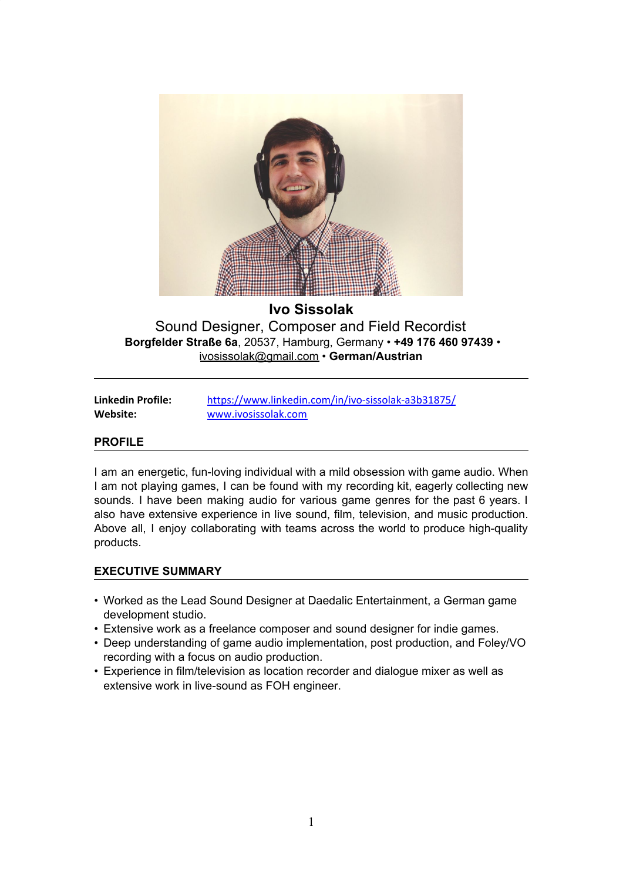

# **Ivo Sissolak**

Sound Designer, Composer and Field Recordist **Borgfelder Straße 6a**, 20537, Hamburg, Germany • **+49 176 460 97439** • ivosissolak@gmail.com • **German/Austrian**

| Linkedin Profile: |  |
|-------------------|--|
| Website:          |  |

**Linkedin Profile:** <https://www.linkedin.com/in/ivo-sissolak-a3b31875/> **Website:** [www.ivosissolak.com](http://www.ivosissolak.com/)

### **PROFILE**

I am an energetic, fun-loving individual with a mild obsession with game audio. When I am not playing games, I can be found with my recording kit, eagerly collecting new sounds. I have been making audio for various game genres for the past 6 years. I also have extensive experience in live sound, film, television, and music production. Above all, I enjoy collaborating with teams across the world to produce high-quality products.

### **EXECUTIVE SUMMARY**

- Worked as the Lead Sound Designer at Daedalic Entertainment, a German game development studio.
- Extensive work as a freelance composer and sound designer for indie games.
- Deep understanding of game audio implementation, post production, and Foley/VO recording with a focus on audio production.
- Experience in film/television as location recorder and dialogue mixer as well as extensive work in live-sound as FOH engineer.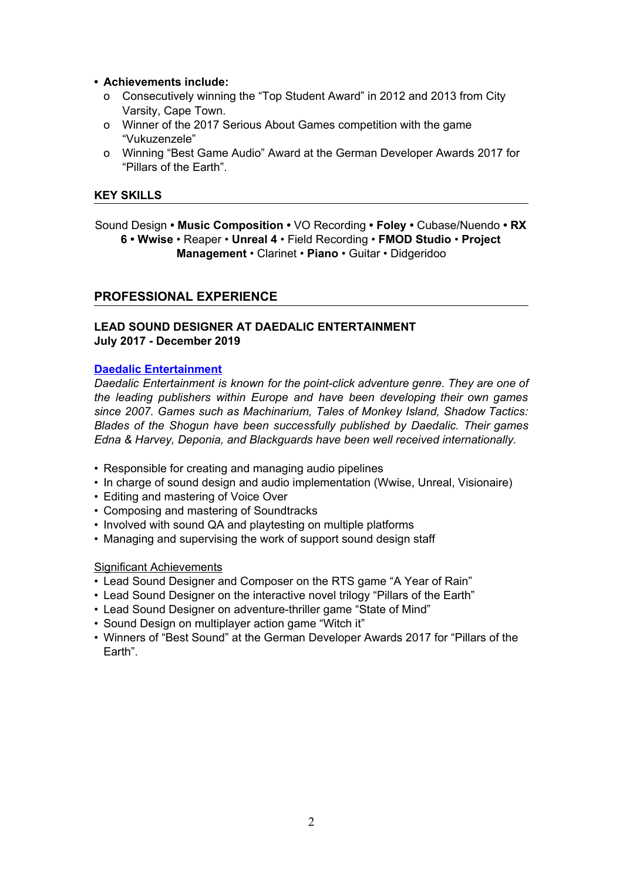- **• Achievements include:**
	- o Consecutively winning the "Top Student Award" in 2012 and 2013 from City Varsity, Cape Town.
	- o Winner of the 2017 Serious About Games competition with the game "Vukuzenzele"
	- o Winning "Best Game Audio" Award at the German Developer Awards 2017 for "Pillars of the Earth".

#### **KEY SKILLS**

Sound Design **• Music Composition •** VO Recording **• Foley •** Cubase/Nuendo **• RX 6 • Wwise** • Reaper • **Unreal 4** • Field Recording • **FMOD Studio** • **Project Management** • Clarinet • **Piano** • Guitar • Didgeridoo

### **PROFESSIONAL EXPERIENCE**

### **LEAD SOUND DESIGNER AT DAEDALIC ENTERTAINMENT July 2017 - December 2019**

#### **Daedalic [Entertainment](http://www.daedalic.com/)**

*Daedalic Entertainment is known for the point-click adventure genre. They are one of the leading publishers within Europe and have been developing their own games since 2007. Games such as Machinarium, Tales of Monkey Island, Shadow Tactics: Blades of the Shogun have been successfully published by Daedalic. Their games Edna & Harvey, Deponia, and Blackguards have been well received internationally.*

- Responsible for creating and managing audio pipelines
- In charge of sound design and audio implementation (Wwise, Unreal, Visionaire)
- Editing and mastering of Voice Over
- Composing and mastering of Soundtracks
- Involved with sound QA and playtesting on multiple platforms
- Managing and supervising the work of support sound design staff

## Significant Achievements

- Lead Sound Designer and Composer on the RTS game "A Year of Rain"
- Lead Sound Designer on the interactive novel trilogy "Pillars of the Earth"
- Lead Sound Designer on adventure-thriller game "State of Mind"
- Sound Design on multiplayer action game "Witch it"
- Winners of "Best Sound" at the German Developer Awards 2017 for "Pillars of the Earth".